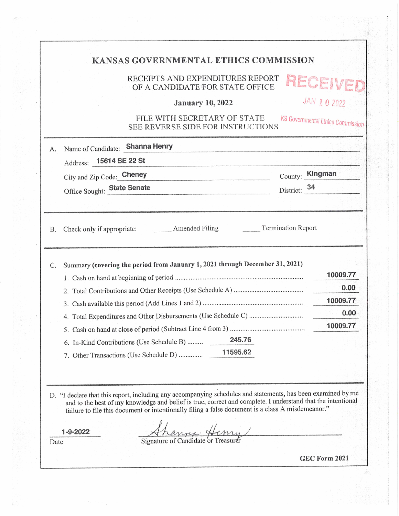## KANSAS GOVERNMENTAL ETHICS COMMISSION

## RECEIPTS AND EXPENDITURES REPORT  $\blacksquare$ OF A CANDIDATE FOR STATE OFFICE

JAN 10 2022

)E

## January 10,2022

## FILE WITH SECRETARY OF STATE SEE REVERSE SIDE FOR INSTRUCTIONS KS Governmental Ethics Commission

|           | Address: 15614 SE 22 St<br>City and Zip Code: Cheney<br>the contract of the contract of the contract of the contract of the contract of the contract of the contract of | County: Kingman |
|-----------|-------------------------------------------------------------------------------------------------------------------------------------------------------------------------|-----------------|
|           | District: 34<br>Office Sought: State Senate                                                                                                                             |                 |
| <b>B.</b> | <b>Termination Report</b><br>Check only if appropriate: Amended Filing                                                                                                  |                 |
| C.        | Summary (covering the period from January 1, 2021 through December 31, 2021)                                                                                            | 10009.77        |
|           |                                                                                                                                                                         | 0.00            |
|           |                                                                                                                                                                         | 10009.77        |
|           |                                                                                                                                                                         | 0.00            |
|           |                                                                                                                                                                         | 10009.77        |
|           | 245.76<br>6. In-Kind Contributions (Use Schedule B)                                                                                                                     |                 |
|           |                                                                                                                                                                         |                 |
|           |                                                                                                                                                                         |                 |
|           |                                                                                                                                                                         |                 |

.-yi,/j^.<-<

Date

 $1 - 9 - 2022$ 

Signature of Candidate or Treasurer

GEC Form 2021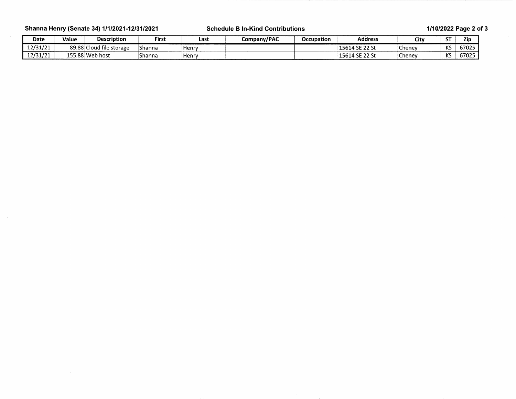Shanna Henry (Senate 34) 1/1/2021-12/31/2021 Schedule B In-Kind Contributions 1/10/2022 Page 2 of 3

 $\mathcal{A}^{\mathcal{A}}$ 

| Date     | Value   | <b>Description</b>       | First  | Last    | Company/PAC | <b>Occupation</b> | <b>Address</b>                       | City          | $-1$<br>эı                        | ∠ip∶  |
|----------|---------|--------------------------|--------|---------|-------------|-------------------|--------------------------------------|---------------|-----------------------------------|-------|
| 12/31/21 | 89.88 C | .<br>ाCloud file storage | Shanna | l Henrv |             |                   | '15614 SE 22 St                      | Cheney        | $\overline{1/\overline{C}}$<br>NJ | 67025 |
| 12/31/21 |         | 155.88 Web host          | Shanna | ∣Henrv  |             |                   | 15614 SF 22 St<br>⊥J∪⊥<br>. JL 44 J' | <b>Chenev</b> | $\overline{1/\overline{C}}$<br>יי | 67025 |